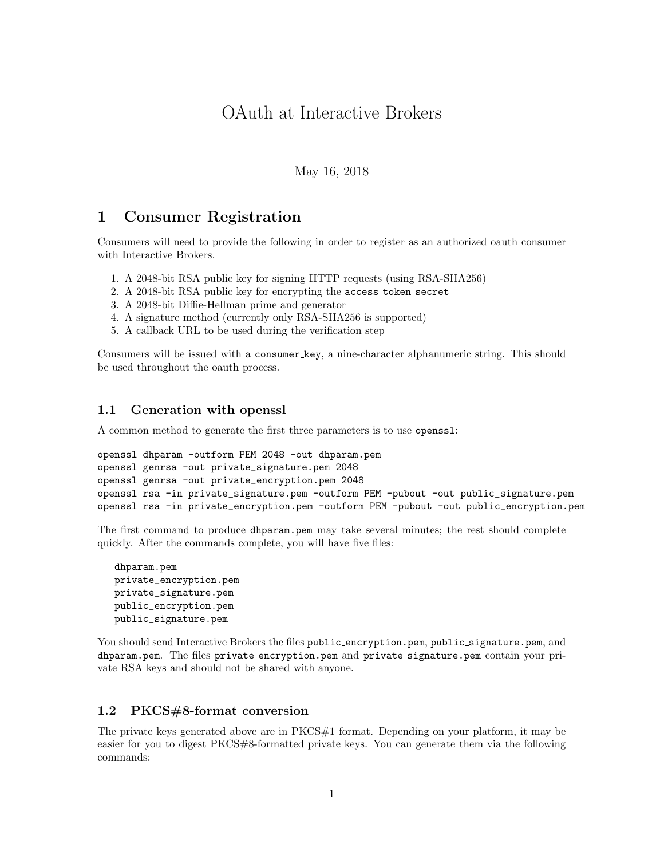# OAuth at Interactive Brokers

May 16, 2018

# <span id="page-0-1"></span>1 Consumer Registration

Consumers will need to provide the following in order to register as an authorized oauth consumer with Interactive Brokers.

- 1. A 2048-bit RSA public key for signing HTTP requests (using RSA-SHA256)
- 2. A 2048-bit RSA public key for encrypting the access token secret
- 3. A 2048-bit Diffie-Hellman prime and generator
- 4. A signature method (currently only RSA-SHA256 is supported)
- 5. A callback URL to be used during the verification step

Consumers will be issued with a consumer key, a nine-character alphanumeric string. This should be used throughout the oauth process.

### 1.1 Generation with openssl

A common method to generate the first three parameters is to use openssl:

```
openssl dhparam -outform PEM 2048 -out dhparam.pem
openssl genrsa -out private_signature.pem 2048
openssl genrsa -out private_encryption.pem 2048
openssl rsa -in private_signature.pem -outform PEM -pubout -out public_signature.pem
openssl rsa -in private_encryption.pem -outform PEM -pubout -out public_encryption.pem
```
The first command to produce dhparam.pem may take several minutes; the rest should complete quickly. After the commands complete, you will have five files:

dhparam.pem private\_encryption.pem private\_signature.pem public\_encryption.pem public\_signature.pem

You should send Interactive Brokers the files public\_encryption.pem, public\_signature.pem, and dhparam.pem. The files private encryption.pem and private signature.pem contain your private RSA keys and should not be shared with anyone.

## <span id="page-0-0"></span>1.2 PKCS#8-format conversion

The private keys generated above are in PKCS#1 format. Depending on your platform, it may be easier for you to digest PKCS#8-formatted private keys. You can generate them via the following commands: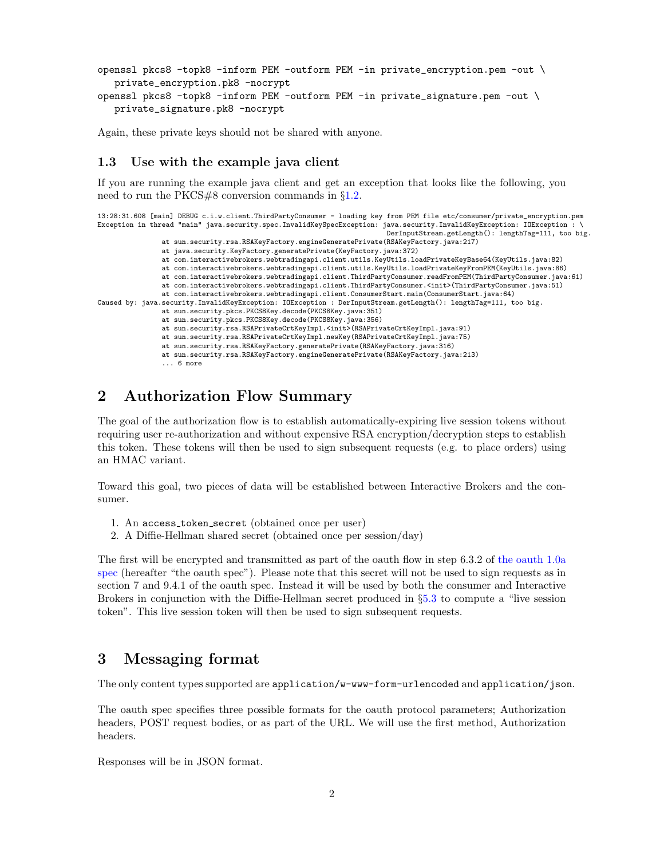```
openssl pkcs8 -topk8 -inform PEM -outform PEM -in private_encryption.pem -out \
  private_encryption.pk8 -nocrypt
openssl pkcs8 -topk8 -inform PEM -outform PEM -in private_signature.pem -out \
  private_signature.pk8 -nocrypt
```
Again, these private keys should not be shared with anyone.

### 1.3 Use with the example java client

If you are running the example java client and get an exception that looks like the following, you need to run the PKCS#8 conversion commands in §[1.2.](#page-0-0)

```
13:28:31.608 [main] DEBUG c.i.w.client.ThirdPartyConsumer - loading key from PEM file etc/consumer/private_encryption.pem
Exception in thread "main" java.security.spec.InvalidKeySpecException: java.security.InvalidKeyException: IOException : \
                                                                        DerInputStream.getLength(): lengthTag=111, too big.
                at sun.security.rsa.RSAKeyFactory.engineGeneratePrivate(RSAKeyFactory.java:217)
                at java.security.KeyFactory.generatePrivate(KeyFactory.java:372)
                at com.interactivebrokers.webtradingapi.client.utils.KeyUtils.loadPrivateKeyBase64(KeyUtils.java:82)
                at com.interactivebrokers.webtradingapi.client.utils.KeyUtils.loadPrivateKeyFromPEM(KeyUtils.java:86)
                at com.interactivebrokers.webtradingapi.client.ThirdPartyConsumer.readFromPEM(ThirdPartyConsumer.java:61)
                at com.interactivebrokers.webtradingapi.client.ThirdPartyConsumer.<init>(ThirdPartyConsumer.java:51)
                at com.interactivebrokers.webtradingapi.client.ConsumerStart.main(ConsumerStart.java:64)
Caused by: java.security.InvalidKeyException: IOException : DerInputStream.getLength(): lengthTag=111, too big.
                at sun.security.pkcs.PKCS8Key.decode(PKCS8Key.java:351)
                at sun.security.pkcs.PKCS8Key.decode(PKCS8Key.java:356)
                at sun.security.rsa.RSAPrivateCrtKeyImpl.<init>(RSAPrivateCrtKeyImpl.java:91)
                at sun.security.rsa.RSAPrivateCrtKeyImpl.newKey(RSAPrivateCrtKeyImpl.java:75)
                at sun.security.rsa.RSAKeyFactory.generatePrivate(RSAKeyFactory.java:316)
                at sun.security.rsa.RSAKeyFactory.engineGeneratePrivate(RSAKeyFactory.java:213)
                ... 6 more
```
# 2 Authorization Flow Summary

The goal of the authorization flow is to establish automatically-expiring live session tokens without requiring user re-authorization and without expensive RSA encryption/decryption steps to establish this token. These tokens will then be used to sign subsequent requests (e.g. to place orders) using an HMAC variant.

Toward this goal, two pieces of data will be established between Interactive Brokers and the consumer.

- 1. An access token secret (obtained once per user)
- 2. A Diffie-Hellman shared secret (obtained once per session/day)

The first will be encrypted and transmitted as part of the oauth flow in step 6.3.2 of [the oauth 1.0a](http://oauth.net/core/1.0a) [spec](http://oauth.net/core/1.0a) (hereafter "the oauth spec"). Please note that this secret will not be used to sign requests as in section 7 and 9.4.1 of the oauth spec. Instead it will be used by both the consumer and Interactive Brokers in conjunction with the Diffie-Hellman secret produced in §[5.3](#page-3-0) to compute a "live session token". This live session token will then be used to sign subsequent requests.

# 3 Messaging format

The only content types supported are application/w-www-form-urlencoded and application/json.

The oauth spec specifies three possible formats for the oauth protocol parameters; Authorization headers, POST request bodies, or as part of the URL. We will use the first method, Authorization headers.

Responses will be in JSON format.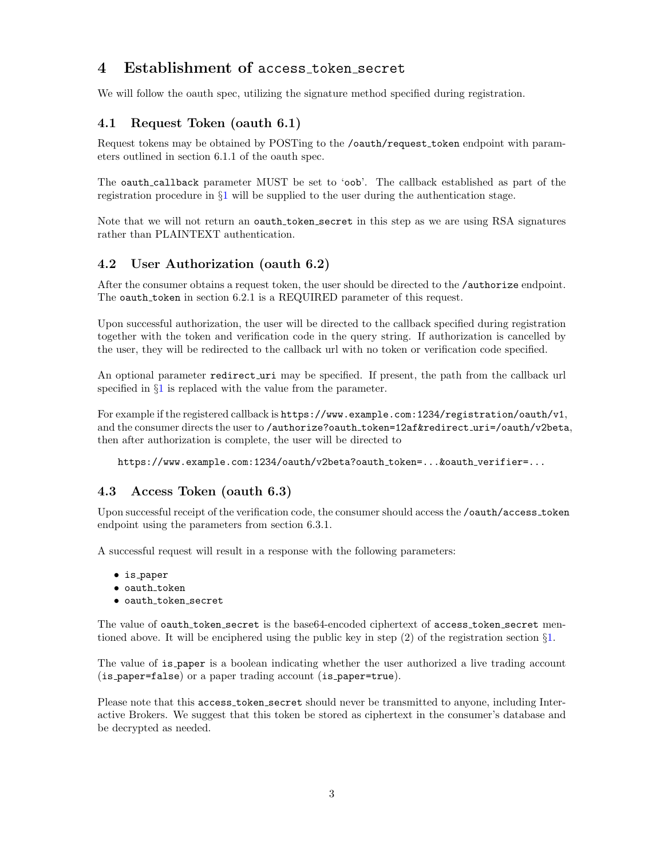# 4 Establishment of access token secret

We will follow the oauth spec, utilizing the signature method specified during registration.

# 4.1 Request Token (oauth 6.1)

Request tokens may be obtained by POSTing to the /oauth/request token endpoint with parameters outlined in section 6.1.1 of the oauth spec.

The oauth callback parameter MUST be set to 'oob'. The callback established as part of the registration procedure in §[1](#page-0-1) will be supplied to the user during the authentication stage.

Note that we will not return an oauth token secret in this step as we are using RSA signatures rather than PLAINTEXT authentication.

## 4.2 User Authorization (oauth 6.2)

After the consumer obtains a request token, the user should be directed to the /authorize endpoint. The oauth\_token in section 6.2.1 is a REQUIRED parameter of this request.

Upon successful authorization, the user will be directed to the callback specified during registration together with the token and verification code in the query string. If authorization is cancelled by the user, they will be redirected to the callback url with no token or verification code specified.

An optional parameter redirect uri may be specified. If present, the path from the callback url specified in  $\S1$  $\S1$  is replaced with the value from the parameter.

For example if the registered callback is https://www.example.com:1234/registration/oauth/v1, and the consumer directs the user to /authorize?oauth\_token=12af&redirect\_uri=/oauth/v2beta, then after authorization is complete, the user will be directed to

https://www.example.com:1234/oauth/v2beta?oauth token=...&oauth verifier=...

## <span id="page-2-0"></span>4.3 Access Token (oauth 6.3)

Upon successful receipt of the verification code, the consumer should access the /oauth/access token endpoint using the parameters from section 6.3.1.

A successful request will result in a response with the following parameters:

- is paper
- $\bullet$  oauth\_token
- oauth token secret

The value of oauth token secret is the base64-encoded ciphertext of access token secret mentioned above. It will be enciphered using the public key in step (2) of the registration section §[1.](#page-0-1)

The value of is paper is a boolean indicating whether the user authorized a live trading account (is paper=false) or a paper trading account (is paper=true).

Please note that this access token secret should never be transmitted to anyone, including Interactive Brokers. We suggest that this token be stored as ciphertext in the consumer's database and be decrypted as needed.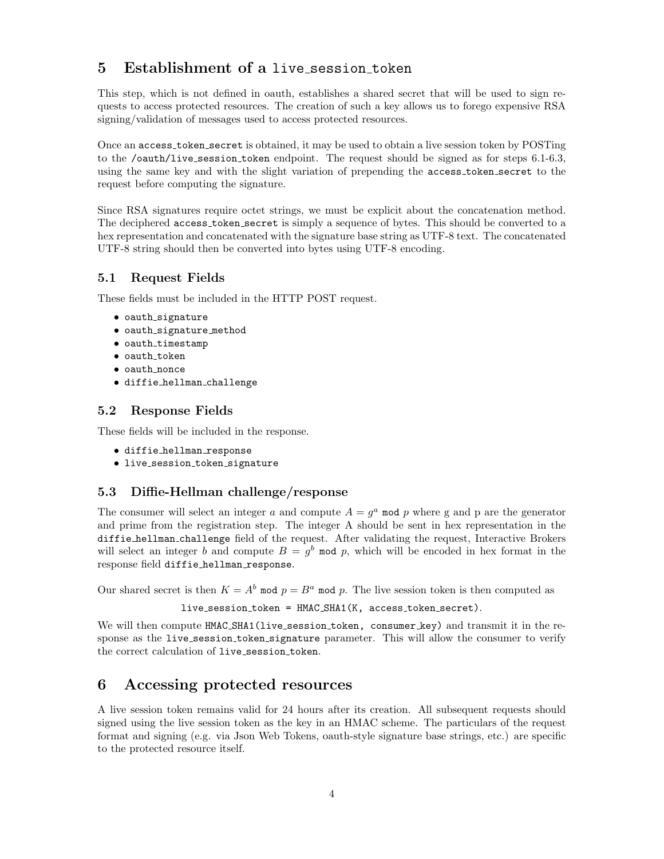# 5 Establishment of a live session token

This step, which is not defined in oauth, establishes a shared secret that will be used to sign requests to access protected resources. The creation of such a key allows us to forego expensive RSA signing/validation of messages used to access protected resources.

Once an access token secret is obtained, it may be used to obtain a live session token by POSTing to the /oauth/live session token endpoint. The request should be signed as for steps 6.1-6.3, using the same key and with the slight variation of prepending the access token secret to the request before computing the signature.

Since RSA signatures require octet strings, we must be explicit about the concatenation method. The deciphered access token secret is simply a sequence of bytes. This should be converted to a hex representation and concatenated with the signature base string as UTF-8 text. The concatenated UTF-8 string should then be converted into bytes using UTF-8 encoding.

# 5.1 Request Fields

These fields must be included in the HTTP POST request.

- oauth signature
- oauth signature method
- oauth\_timestamp
- $\bullet$  oauth\_token
- oauth nonce
- diffie hellman challenge

## 5.2 Response Fields

These fields will be included in the response.

- diffie hellman response
- live session token signature

## <span id="page-3-0"></span>5.3 Diffie-Hellman challenge/response

The consumer will select an integer a and compute  $A = g^a$  mod p where g and p are the generator and prime from the registration step. The integer A should be sent in hex representation in the diffie hellman challenge field of the request. After validating the request, Interactive Brokers will select an integer b and compute  $B = g^b$  mod p, which will be encoded in hex format in the response field diffie hellman response.

Our shared secret is then  $K = A^b$  mod  $p = B^a$  mod p. The live session token is then computed as

live\_session\_token = HMAC\_SHA1(K, access\_token\_secret).

We will then compute HMAC\_SHA1(live\_session\_token, consumer\_key) and transmit it in the response as the live\_session\_token\_signature parameter. This will allow the consumer to verify the correct calculation of live\_session\_token.

# 6 Accessing protected resources

A live session token remains valid for 24 hours after its creation. All subsequent requests should signed using the live session token as the key in an HMAC scheme. The particulars of the request format and signing (e.g. via Json Web Tokens, oauth-style signature base strings, etc.) are specific to the protected resource itself.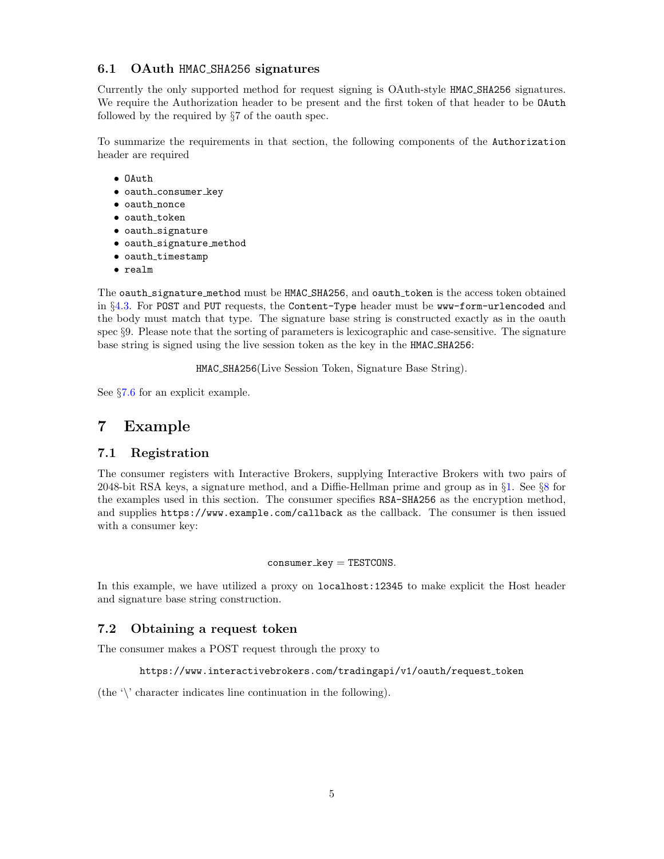## 6.1 OAuth HMAC SHA256 signatures

Currently the only supported method for request signing is OAuth-style HMAC SHA256 signatures. We require the Authorization header to be present and the first token of that header to be OAuth followed by the required by §7 of the oauth spec.

To summarize the requirements in that section, the following components of the Authorization header are required

- OAuth
- oauth\_consumer\_key
- oauth nonce
- $\bullet$  oauth\_token
- oauth signature
- oauth signature method
- oauth\_timestamp
- realm

The oauth\_signature\_method must be HMAC\_SHA256, and oauth\_token is the access token obtained in §[4.3.](#page-2-0) For POST and PUT requests, the Content-Type header must be www-form-urlencoded and the body must match that type. The signature base string is constructed exactly as in the oauth spec §9. Please note that the sorting of parameters is lexicographic and case-sensitive. The signature base string is signed using the live session token as the key in the HMAC SHA256:

HMAC SHA256(Live Session Token, Signature Base String).

See §[7.6](#page-9-0) for an explicit example.

# <span id="page-4-0"></span>7 Example

## 7.1 Registration

The consumer registers with Interactive Brokers, supplying Interactive Brokers with two pairs of 2048-bit RSA keys, a signature method, and a Diffie-Hellman prime and group as in §[1.](#page-0-1) See §[8](#page-11-0) for the examples used in this section. The consumer specifies RSA-SHA256 as the encryption method, and supplies https://www.example.com/callback as the callback. The consumer is then issued with a consumer key:

#### $\text{cosumer\_key} = \text{TESTCONS}.$

In this example, we have utilized a proxy on localhost:12345 to make explicit the Host header and signature base string construction.

## 7.2 Obtaining a request token

The consumer makes a POST request through the proxy to

```
https://www.interactivebrokers.com/tradingapi/v1/oauth/request token
```
(the  $\Diamond$  character indicates line continuation in the following).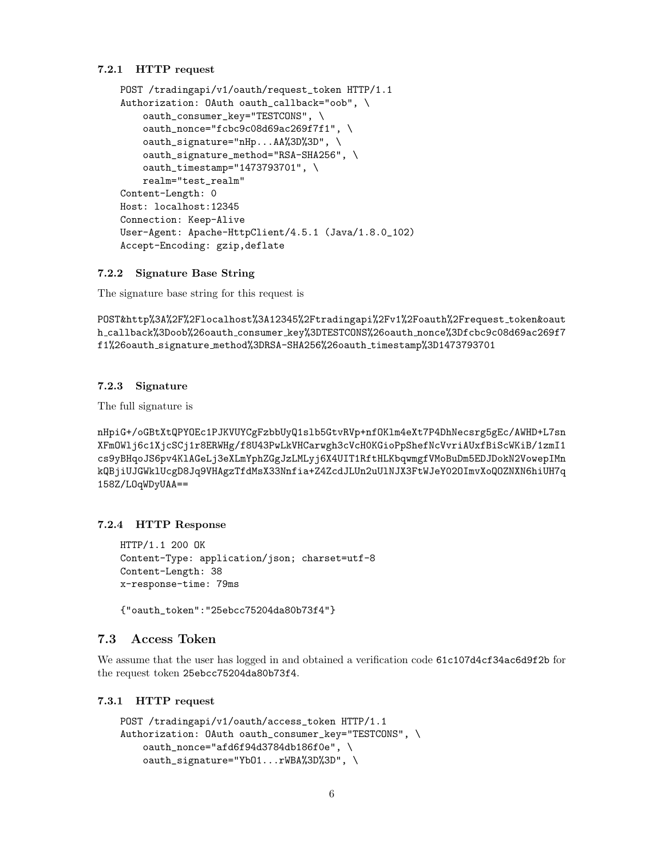#### 7.2.1 HTTP request

```
POST /tradingapi/v1/oauth/request_token HTTP/1.1
Authorization: OAuth oauth_callback="oob", \
    oauth_consumer_key="TESTCONS", \
    oauth_nonce="fcbc9c08d69ac269f7f1", \
    oauth_signature="nHp...AA%3D%3D", \
    oauth_signature_method="RSA-SHA256", \
    oauth_timestamp="1473793701", \
   realm="test_realm"
Content-Length: 0
Host: localhost:12345
Connection: Keep-Alive
User-Agent: Apache-HttpClient/4.5.1 (Java/1.8.0_102)
Accept-Encoding: gzip,deflate
```
### 7.2.2 Signature Base String

The signature base string for this request is

POST&http%3A%2F%2Flocalhost%3A12345%2Ftradingapi%2Fv1%2Foauth%2Frequest token&oaut h callback%3Doob%26oauth consumer key%3DTESTCONS%26oauth nonce%3Dfcbc9c08d69ac269f7 f1%26oauth signature method%3DRSA-SHA256%26oauth timestamp%3D1473793701

#### 7.2.3 Signature

The full signature is

nHpiG+/oGBtXtQPYOEc1PJKVUYCgFzbbUyQ1slb5GtvRVp+nfOKlm4eXt7P4DhNecsrg5gEc/AWHD+L7sn XFmOWlj6c1XjcSCj1r8ERWHg/f8U43PwLkVHCarwgh3cVcH0KGioPpShefNcVvriAUxfBiScWKiB/1zmI1 cs9yBHqoJS6pv4KlAGeLj3eXLmYphZGgJzLMLyj6X4UIT1RftHLKbqwmgfVMoBuDm5EDJDokN2VowepIMn kQBjiUJGWklUcgD8Jq9VHAgzTfdMsX33Nnfia+Z4ZcdJLUn2uUlNJX3FtWJeY02OImvXoQOZNXN6hiUH7q 158Z/LOqWDyUAA==

### 7.2.4 HTTP Response

```
HTTP/1.1 200 OK
Content-Type: application/json; charset=utf-8
Content-Length: 38
x-response-time: 79ms
```
{"oauth\_token":"25ebcc75204da80b73f4"}

## 7.3 Access Token

We assume that the user has logged in and obtained a verification code 61c107d4cf34ac6d9f2b for the request token 25ebcc75204da80b73f4.

#### 7.3.1 HTTP request

```
POST /tradingapi/v1/oauth/access_token HTTP/1.1
Authorization: OAuth oauth_consumer_key="TESTCONS", \
    oauth_nonce="afd6f94d3784db186f0e", \
    oauth_signature="YbO1...rWBA%3D%3D", \
```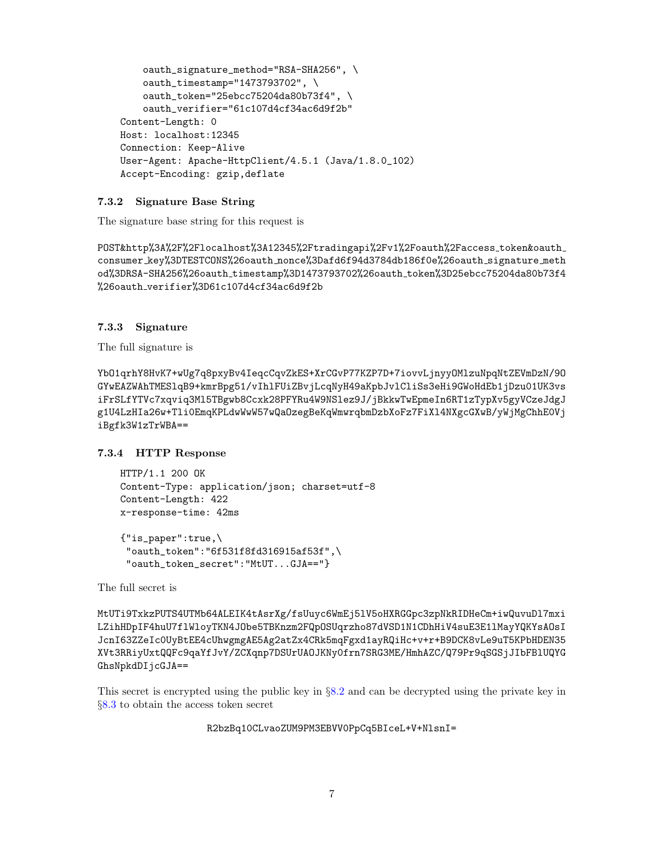```
oauth_signature_method="RSA-SHA256", \
    oauth_timestamp="1473793702", \
    oauth_token="25ebcc75204da80b73f4", \
    oauth_verifier="61c107d4cf34ac6d9f2b"
Content-Length: 0
Host: localhost:12345
Connection: Keep-Alive
User-Agent: Apache-HttpClient/4.5.1 (Java/1.8.0_102)
Accept-Encoding: gzip,deflate
```
#### 7.3.2 Signature Base String

The signature base string for this request is

POST&http%3A%2F%2Flocalhost%3A12345%2Ftradingapi%2Fv1%2Foauth%2Faccess token&oauth consumer key%3DTESTCONS%26oauth nonce%3Dafd6f94d3784db186f0e%26oauth signature meth od%3DRSA-SHA256%26oauth timestamp%3D1473793702%26oauth token%3D25ebcc75204da80b73f4 %26oauth verifier%3D61c107d4cf34ac6d9f2b

## 7.3.3 Signature

The full signature is

YbO1qrhY8HvK7+wUg7q8pxyBv4IeqcCqvZkES+XrCGvP77KZP7D+7iovvLjnyyOMlzuNpqNtZEVmDzN/9O GYwEAZWAhTMESlqB9+kmrBpg51/vIhlFUiZBvjLcqNyH49aKpbJvlCliSs3eHi9GWoHdEb1jDzu01UK3vs iFrSLfYTVc7xqviq3Ml5TBgwb8Ccxk28PFYRu4W9NSlez9J/jBkkwTwEpmeIn6RT1zTypXv5gyVCzeJdgJ g1U4LzHIa26w+Tli0EmqKPLdwWwW57wQaOzegBeKqWmwrqbmDzbXoFz7FiXl4NXgcGXwB/yWjMgChhE0Vj iBgfk3W1zTrWBA==

7.3.4 HTTP Response

```
HTTP/1.1 200 OK
Content-Type: application/json; charset=utf-8
Content-Length: 422
x-response-time: 42ms
{"is_paper":true,\
```
"oauth\_token":"6f531f8fd316915af53f",\ "oauth\_token\_secret":"MtUT...GJA=="}

The full secret is

MtUTi9TxkzPUTS4UTMb64ALEIK4tAsrXg/fsUuyc6WmEj5lV5oHXRGGpc3zpNkRIDHeCm+iwQuvuDl7mxi LZihHDpIF4huU7flWloyTKN4JObe5TBKnzm2FQpOSUqrzho87dVSD1N1CDhHiV4suE3E1lMayYQKYsAOsI JcnI63ZZeIc0UyBtEE4cUhwgmgAE5Ag2atZx4CRk5mqFgxd1ayRQiHc+v+r+B9DCK8vLe9uT5KPbHDEN35 XVt3RRiyUxtQQFc9qaYfJvY/ZCXqnp7DSUrUAOJKNy0frn7SRG3ME/HmhAZC/Q79Pr9qSGSjJIbFBlUQYG GhsNpkdDIjcGJA==

This secret is encrypted using the public key in §[8.2](#page-12-0) and can be decrypted using the private key in §[8.3](#page-12-1) to obtain the access token secret

R2bzBq10CLvaoZUM9PM3EBVV0PpCq5BIceL+V+NlsnI=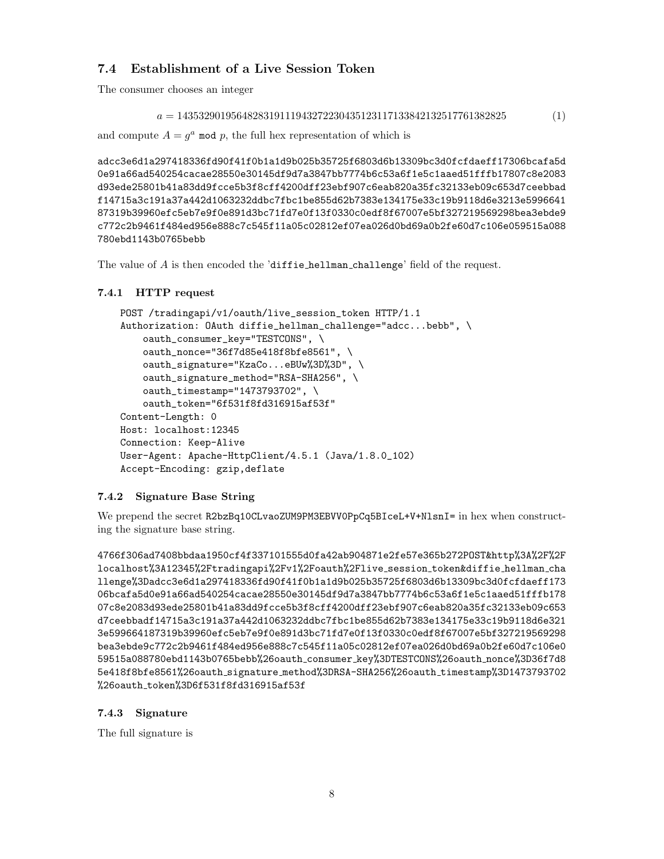# 7.4 Establishment of a Live Session Token

The consumer chooses an integer

```
a = 1435329019564828319111943272230435123117133842132517761382825 (1)
```

```
and compute A = g^a mod p, the full hex representation of which is
```
adcc3e6d1a297418336fd90f41f0b1a1d9b025b35725f6803d6b13309bc3d0fcfdaeff17306bcafa5d 0e91a66ad540254cacae28550e30145df9d7a3847bb7774b6c53a6f1e5c1aaed51fffb17807c8e2083 d93ede25801b41a83dd9fcce5b3f8cff4200dff23ebf907c6eab820a35fc32133eb09c653d7ceebbad f14715a3c191a37a442d1063232ddbc7fbc1be855d62b7383e134175e33c19b9118d6e3213e5996641 87319b39960efc5eb7e9f0e891d3bc71fd7e0f13f0330c0edf8f67007e5bf327219569298bea3ebde9 c772c2b9461f484ed956e888c7c545f11a05c02812ef07ea026d0bd69a0b2fe60d7c106e059515a088 780ebd1143b0765bebb

The value of A is then encoded the 'diffie hellman challenge' field of the request.

## 7.4.1 HTTP request

```
POST /tradingapi/v1/oauth/live_session_token HTTP/1.1
Authorization: OAuth diffie_hellman_challenge="adcc...bebb", \setminusoauth_consumer_key="TESTCONS", \
    oauth_nonce="36f7d85e418f8bfe8561", \
    oauth_signature="KzaCo...eBUw%3D%3D", \
    oauth_signature_method="RSA-SHA256", \
    oauth_timestamp="1473793702", \
    oauth_token="6f531f8fd316915af53f"
Content-Length: 0
Host: localhost:12345
Connection: Keep-Alive
User-Agent: Apache-HttpClient/4.5.1 (Java/1.8.0_102)
Accept-Encoding: gzip,deflate
```
## 7.4.2 Signature Base String

We prepend the secret R2bzBq10CLvaoZUM9PM3EBVV0PpCq5BIceL+V+NlsnI= in hex when constructing the signature base string.

4766f306ad7408bbdaa1950cf4f337101555d0fa42ab904871e2fe57e365b272POST&http%3A%2F%2F localhost%3A12345%2Ftradingapi%2Fv1%2Foauth%2Flive session token&diffie hellman cha llenge%3Dadcc3e6d1a297418336fd90f41f0b1a1d9b025b35725f6803d6b13309bc3d0fcfdaeff173 06bcafa5d0e91a66ad540254cacae28550e30145df9d7a3847bb7774b6c53a6f1e5c1aaed51fffb178 07c8e2083d93ede25801b41a83dd9fcce5b3f8cff4200dff23ebf907c6eab820a35fc32133eb09c653 d7ceebbadf14715a3c191a37a442d1063232ddbc7fbc1be855d62b7383e134175e33c19b9118d6e321 3e599664187319b39960efc5eb7e9f0e891d3bc71fd7e0f13f0330c0edf8f67007e5bf327219569298 bea3ebde9c772c2b9461f484ed956e888c7c545f11a05c02812ef07ea026d0bd69a0b2fe60d7c106e0 59515a088780ebd1143b0765bebb%26oauth consumer key%3DTESTCONS%26oauth nonce%3D36f7d8 5e418f8bfe8561%26oauth signature method%3DRSA-SHA256%26oauth timestamp%3D1473793702 %26oauth token%3D6f531f8fd316915af53f

## 7.4.3 Signature

The full signature is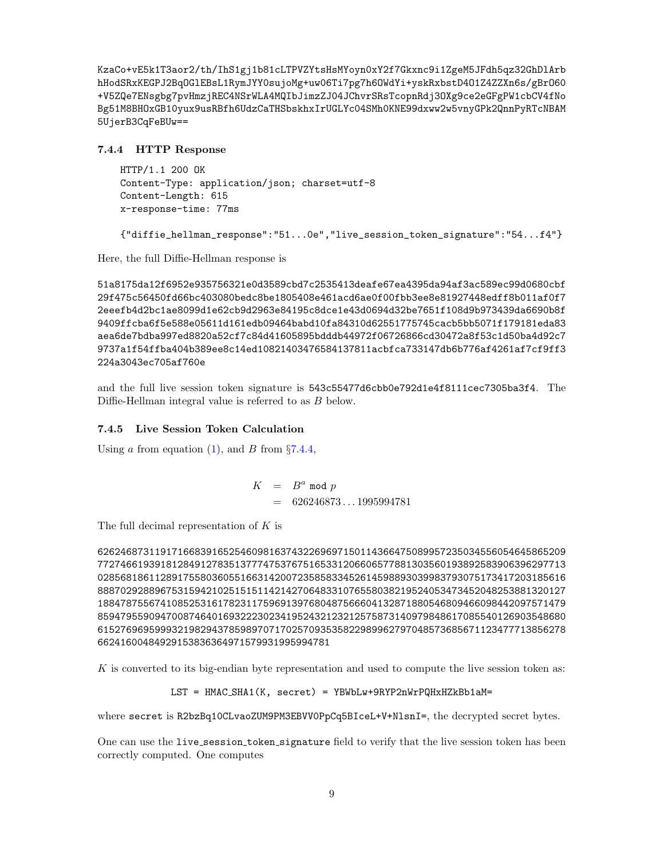KzaCo+vE5k1T3aor2/th/IhS1gj1b81cLTPVZYtsHsMYoyn0xY2f7Gkxnc9i1ZgeM5JFdh5qz32GhDlArb hHodSRxKEGPJ2BqOGlEBsL1RymJYY0sujoMg+uw06Ti7pg7h6OWdYi+yskRxbstD4O1Z4ZZXn6s/gBrO60 +V5ZQe7ENsgbg7pvHmzjREC4NSrWLA4MQIbJimzZJ04JChvrSRsTcopnRdj3OXg9ce2eGFgPW1cbCV4fNo Bg51M8BHOxGB10yux9usRBfh6UdzCaTHSbskhxIrUGLYc04SMh0KNE99dxww2w5vnyGPk2QnnPyRTcNBAM 5UjerB3CqFeBUw==

### <span id="page-8-0"></span>7.4.4 HTTP Response

```
HTTP/1.1 200 OK
Content-Type: application/json; charset=utf-8
Content-Length: 615
x-response-time: 77ms
```
{"diffie\_hellman\_response":"51...0e","live\_session\_token\_signature":"54...f4"}

Here, the full Diffie-Hellman response is

51a8175da12f6952e935756321e0d3589cbd7c2535413deafe67ea4395da94af3ac589ec99d0680cbf 29f475c56450fd66bc403080bedc8be1805408e461acd6ae0f00fbb3ee8e81927448edff8b011af0f7 2eeefb4d2bc1ae8099d1e62cb9d2963e84195c8dce1e43d0694d32be7651f108d9b973439da6690b8f 9409ffcba6f5e588e05611d161edb09464babd10fa84310d62551775745cacb5bb5071f179181eda83 aea6de7bdba997ed8820a52cf7c84d41605895bdddb44972f06726866cd30472a8f53c1d50ba4d92c7 9737a1f54ffba404b389ee8c14ed10821403476584137811acbfca733147db6b776af4261af7cf9ff3 224a3043ec705af760e

and the full live session token signature is 543c55477d6cbb0e792d1e4f8111cec7305ba3f4. The Diffie-Hellman integral value is referred to as B below.

### 7.4.5 Live Session Token Calculation

Using a from equation [\(1\)](#page-7-0), and B from  $\S 7.4.4$ ,

 $K = B^a \mod p$  $= 626246873...1995994781$ 

The full decimal representation of  $K$  is

6262468731191716683916525460981637432269697150114366475089957235034556054645865209 7727466193918128491278351377747537675165331206606577881303560193892583906396297713 0285681861128917558036055166314200723585833452614598893039983793075173417203185616 8887029288967531594210251515114214270648331076558038219524053473452048253881320127 1884787556741085253161782311759691397680487566604132871880546809466098442097571479 8594795590947008746401693222302341952432123212575873140979848617085540126903548680 6152769695999321982943785989707170257093535822989962797048573685671123477713856278 66241600484929153836364971579931995994781

 $K$  is converted to its big-endian byte representation and used to compute the live session token as:

LST = HMAC SHA1(K, secret) = YBWbLw+9RYP2nWrPQHxHZkBb1aM=

where secret is R2bzBq10CLvaoZUM9PM3EBVV0PpCq5BIceL+V+NlsnI=, the decrypted secret bytes.

One can use the live session token signature field to verify that the live session token has been correctly computed. One computes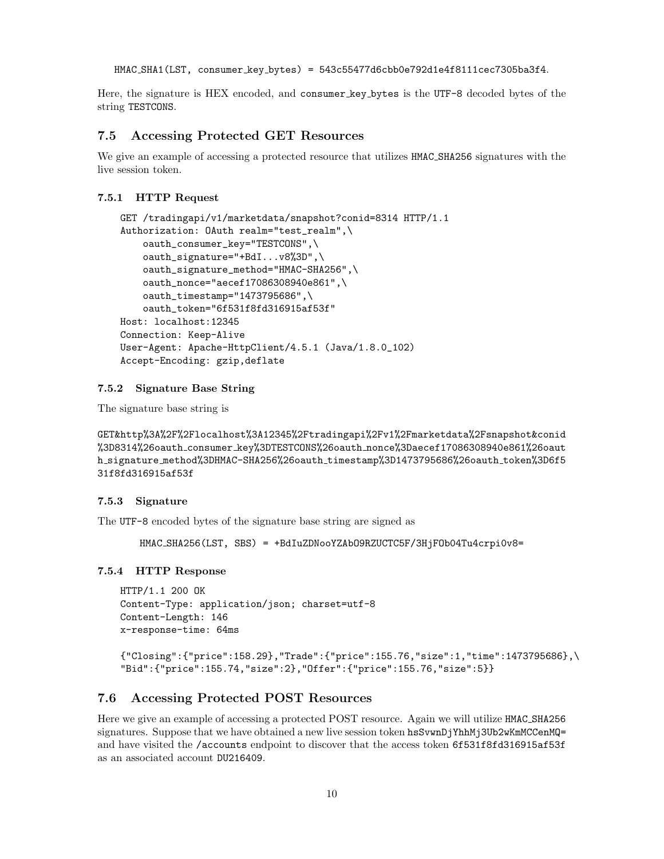HMAC SHA1(LST, consumer key bytes) = 543c55477d6cbb0e792d1e4f8111cec7305ba3f4.

Here, the signature is HEX encoded, and consumer key bytes is the UTF-8 decoded bytes of the string TESTCONS.

#### 7.5 Accessing Protected GET Resources

We give an example of accessing a protected resource that utilizes  $HMAC\_SHA256$  signatures with the live session token.

#### 7.5.1 HTTP Request

```
GET /tradingapi/v1/marketdata/snapshot?conid=8314 HTTP/1.1
Authorization: OAuth realm="test_realm",\
    oauth_consumer_key="TESTCONS",\
    oauth_signature="+BdI...v8%3D",\
    oauth_signature_method="HMAC-SHA256",\
    oauth_nonce="aecef17086308940e861",\
   oauth_timestamp="1473795686",\
    oauth_token="6f531f8fd316915af53f"
Host: localhost:12345
Connection: Keep-Alive
User-Agent: Apache-HttpClient/4.5.1 (Java/1.8.0_102)
Accept-Encoding: gzip,deflate
```
#### 7.5.2 Signature Base String

The signature base string is

GET&http%3A%2F%2Flocalhost%3A12345%2Ftradingapi%2Fv1%2Fmarketdata%2Fsnapshot&conid %3D8314%26oauth consumer key%3DTESTCONS%26oauth nonce%3Daecef17086308940e861%26oaut h signature method%3DHMAC-SHA256%26oauth timestamp%3D1473795686%26oauth token%3D6f5 31f8fd316915af53f

#### 7.5.3 Signature

The UTF-8 encoded bytes of the signature base string are signed as

HMAC SHA256(LST, SBS) = +BdIuZDNooYZAbO9RZUCTC5F/3HjFOb04Tu4crpi0v8=

#### 7.5.4 HTTP Response

HTTP/1.1 200 OK Content-Type: application/json; charset=utf-8 Content-Length: 146 x-response-time: 64ms

```
{"Closing":{"price":158.29},"Trade":{"price":155.76,"size":1,"time":1473795686},\
"Bid":{"price":155.74,"size":2},"Offer":{"price":155.76,"size":5}}
```
## <span id="page-9-0"></span>7.6 Accessing Protected POST Resources

Here we give an example of accessing a protected POST resource. Again we will utilize HMAC SHA256 signatures. Suppose that we have obtained a new live session token hsSvwnDjYhhMj3Ub2wKmMCCenMQ= and have visited the /accounts endpoint to discover that the access token 6f531f8fd316915af53f as an associated account DU216409.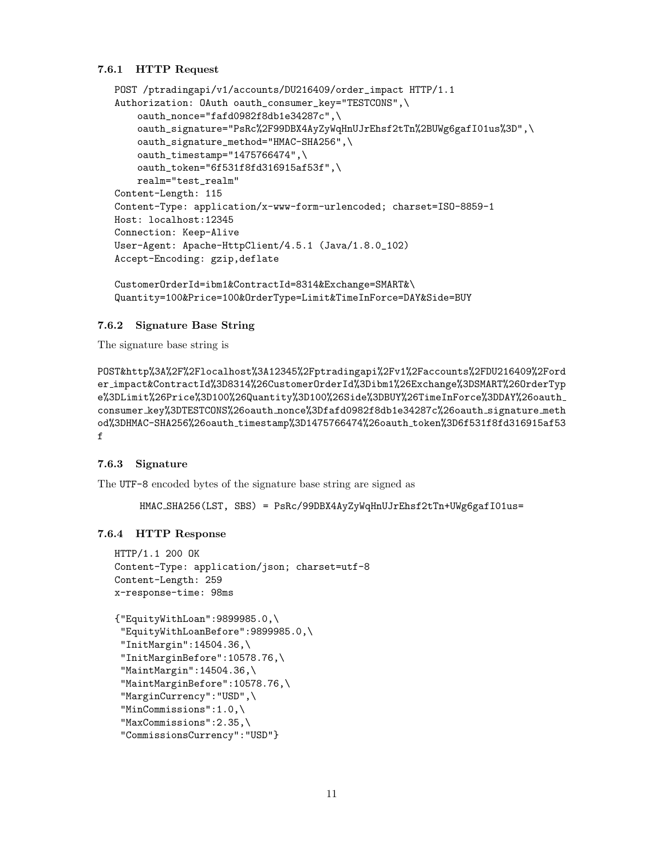#### 7.6.1 HTTP Request

```
POST /ptradingapi/v1/accounts/DU216409/order_impact HTTP/1.1
Authorization: OAuth oauth_consumer_key="TESTCONS",\
    oauth_nonce="fafd0982f8db1e34287c",\
    oauth_signature="PsRc%2F99DBX4AyZyWqHnUJrEhsf2tTn%2BUWg6gafI01us%3D",\
    oauth_signature_method="HMAC-SHA256",\
    oauth_timestamp="1475766474",\
    oauth_token="6f531f8fd316915af53f",\
   realm="test_realm"
Content-Length: 115
Content-Type: application/x-www-form-urlencoded; charset=ISO-8859-1
Host: localhost:12345
Connection: Keep-Alive
User-Agent: Apache-HttpClient/4.5.1 (Java/1.8.0_102)
Accept-Encoding: gzip,deflate
```

```
CustomerOrderId=ibm1&ContractId=8314&Exchange=SMART&\
Quantity=100&Price=100&OrderType=Limit&TimeInForce=DAY&Side=BUY
```
#### 7.6.2 Signature Base String

The signature base string is

POST&http%3A%2F%2Flocalhost%3A12345%2Fptradingapi%2Fv1%2Faccounts%2FDU216409%2Ford er impact&ContractId%3D8314%26CustomerOrderId%3Dibm1%26Exchange%3DSMART%26OrderTyp e%3DLimit%26Price%3D100%26Quantity%3D100%26Side%3DBUY%26TimeInForce%3DDAY%26oauth consumer key%3DTESTCONS%26oauth nonce%3Dfafd0982f8db1e34287c%26oauth signature meth od%3DHMAC-SHA256%26oauth timestamp%3D1475766474%26oauth token%3D6f531f8fd316915af53 f

#### 7.6.3 Signature

The UTF-8 encoded bytes of the signature base string are signed as

HMAC SHA256(LST, SBS) = PsRc/99DBX4AyZyWqHnUJrEhsf2tTn+UWg6gafI01us=

#### 7.6.4 HTTP Response

```
HTTP/1.1 200 OK
Content-Type: application/json; charset=utf-8
Content-Length: 259
x-response-time: 98ms
{"EquityWithLoan":9899985.0,\
 "EquityWithLoanBefore":9899985.0,\
 "InitMargin":14504.36,\
 "InitMarginBefore":10578.76,\
 "MaintMargin":14504.36,\
 "MaintMarginBefore":10578.76,\
 "MarginCurrency":"USD",\
 "MinCommissions":1.0,\
 "MaxCommissions":2.35,\
 "CommissionsCurrency":"USD"}
```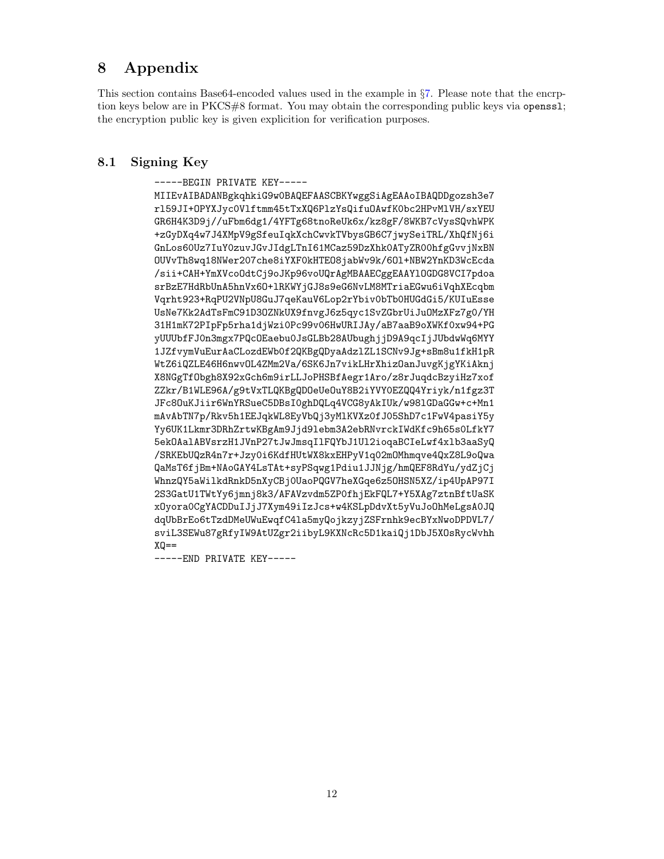# <span id="page-11-0"></span>8 Appendix

This section contains Base64-encoded values used in the example in §[7.](#page-4-0) Please note that the encrption keys below are in PKCS#8 format. You may obtain the corresponding public keys via openssl; the encryption public key is given explicition for verification purposes.

# 8.1 Signing Key

-----BEGIN PRIVATE KEY-----

MIIEvAIBADANBgkqhkiG9w0BAQEFAASCBKYwggSiAgEAAoIBAQDDgozsh3e7 rl59JI+OPYXJyc0Vlftmm45tTxXQ6PlzYsQifuOAwfK0bc2HPvMlVH/sxYEU GR6H4K3D9j//uFbm6dg1/4YFTg68tnoReUk6x/kz8gF/8WKB7cVysSQvhWPK +zGyDXq4w7J4XMpV9gSfeuIqkXchCwvkTVbysGB6C7jwySeiTRL/XhQfNj6i GnLos60Uz7IuY0zuvJGvJIdgLTnI61MCaz59DzXhk0ATyZR00hfgGvvjNxBN OUVvTh8wq18NWer207che8iYXF0kHTEO8jabWv9k/6Ol+NBW2YnKD3WcEcda /sii+CAH+YmXVcoOdtCj9oJKp96voUQrAgMBAAECggEAAYlOGDG8VCI7pdoa srBzE7HdRbUnA5hnVx6O+lRKWYjGJ8s9eG6NvLM8MTriaEGwu6iVqhXEcqbm Vqrht923+RqPU2VNpU8GuJ7qeKauV6Lop2rYbiv0bTb0HUGdGi5/KUIuEsse UsNe7Kk2AdTsFmC91D3OZNkUX9fnvgJ6z5qyc1SvZGbrUiJuOMzXFz7g0/YH 31H1mK72PIpFp5rha1djWzi0Pc99v06HwURIJAy/aB7aaB9oXWKf0xw94+PG yUUUbfFJ0n3mgx7PQcOEaebu0JsGLBb28AUbughjjD9A9qcIjJUbdwWq6MYY 1JZfvymVuEurAaCLozdEWb0f2QKBgQDyaAdzlZL1SCNv9Jg+sBm8u1fkH1pR WtZ6iQZLE46H6nwvOL4ZMm2Va/6SK6Jn7vikLHrXhizOanJuvgKjgYKiAknj X8NGgTfObgh8X92xGch6m9irLLJoPHSBfAegr1Aro/z8rJuqdcBzyiHz7xof ZZkr/B1WLE96A/g9tVxTLQKBgQDOeUeOuY8B2iYVY0EZQQ4Yriyk/n1fgz3T JFc8OuKJiir6WnYRSueC5DBsI0ghDQLq4VCG8yAkIUk/w98lGDaGGw+c+Mn1 mAvAbTN7p/Rkv5h1EEJqkWL8EyVbQj3yMlKVXz0fJ05ShD7c1FwV4pasiY5y Yy6UK1Lkmr3DRhZrtwKBgAm9Jjd9lebm3A2ebRNvrckIWdKfc9h65s0LfkY7 5ekOAalABVsrzH1JVnP27tJwJmsqIlFQYbJ1Ul2ioqaBCIeLwf4xlb3aaSyQ /SRKEbUQzR4n7r+Jzy0i6KdfHUtWX8kxEHPyV1q02mOMhmqve4QxZ8L9oQwa QaMsT6fjBm+NAoGAY4LsTAt+syPSqwg1Pdiu1JJNjg/hmQEF8RdYu/ydZjCj WhnzQY5aWilkdRnkD5nXyCBj0UaoPQGV7heXGqe6z5OHSN5XZ/ip4UpAP97I 2S3GatU1TWtYy6jmnj8k3/AFAVzvdm5ZP0fhjEkFQL7+Y5XAg7ztnBftUaSK xOyora0CgYACDDuIJjJ7Xym49iIzJcs+w4KSLpDdvXt5yVuJoOhMeLgsA0JQ dqUbBrEo6tTzdDMeUWuEwqfC4la5myQojkzyjZSFrnhk9ecBYxNwoDPDVL7/ sviL3SEWu87gRfyIW9AtUZgr2iibyL9KXNcRc5D1kaiQj1DbJ5XOsRycWvhh  $XQ ==$ 

-----END PRIVATE KEY-----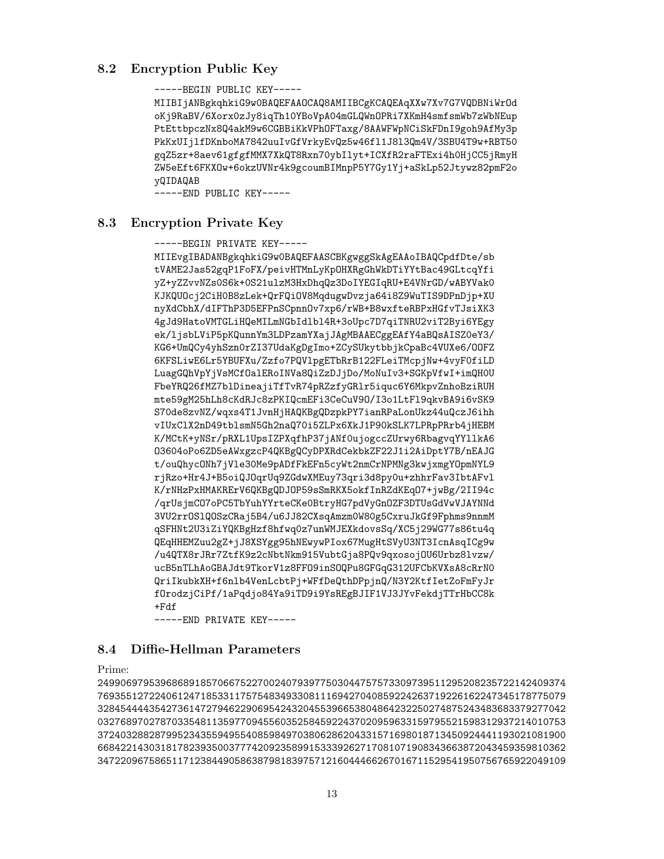# <span id="page-12-0"></span>8.2 Encryption Public Key

-----BEGIN PUBLIC KEY-----

MIIBIjANBgkqhkiG9w0BAQEFAAOCAQ8AMIIBCgKCAQEAqXXw7Xv7G7VQDBNiWrOd oKj9RaBV/6Xorx0zJy8iqTh10YBoVpA04mGLQWnOPRi7XKmH4smfsmWb7zWbNEup PtEttbpczNx8Q4akM9w6CGBBiKkVPhOFTaxg/8AAWFWpNCiSkFDnI9goh9AfMy3p PkKxUIjlfDKnboMA7842uuIvGfVrkyEvQz5w46fl1J8l3Qm4V/3SBU4T9w+RBT50 gqZ5zr+8aev61gfgfMMX7XkQT8Rxn70ybIlyt+ICXfR2raFTExi4h0HjCC5jRmyH ZW5eEft6FKXOw+6okzUVNr4k9gcoumBIMnpP5Y7Gy1Yj+aSkLp52Jtywz82pmF2o yQIDAQAB

-----END PUBLIC KEY-----

# <span id="page-12-1"></span>8.3 Encryption Private Key

-----BEGIN PRIVATE KEY-----

MIIEvgIBADANBgkqhkiG9w0BAQEFAASCBKgwggSkAgEAAoIBAQCpdfDte/sb tVAME2Jas52gqP1FoFX/peivHTMnLyKpOHXRgGhWkDTiYYtBac49GLtcqYfi yZ+yZZvvNZs0S6k+0S21ulzM3HxDhqQz3DoIYEGIqRU+E4VNrGD/wABYVak0 KJKQUOcj2CiH0B8zLek+QrFQiOV8MqdugwDvzja64i8Z9WuTIS9DPnDjp+XU nyXdCbhX/dIFThP3D5EFPnSCpnnOv7xp6/rWB+B8wxfteRBPxHGfvTJsiXK3 4gJd9HatoVMTGLiHQeMILmNGbIdlbl4R+3oUpc7D7qiTNRU2viT2Byi6YEgy ek/ljsbLViP5pKQunnYm3LDPzamYXajJAgMBAAECggEAfY4aBQsAISZ0eY3/ KG6+UmQCy4yhSzn0rZI37UdaKgDgImo+ZCySUkytbbjkCpaBc4VUXe6/OOFZ 6KFSLiwE6Lr5YBUFXu/Zzfo7PQVlpgETbRrB122FLeiTMcpjNw+4vyF0fiLD LuagGQhVpYjVsMCfOalERoINVa8QiZzDJjDo/MoNuIv3+SGKpVfwI+imQH0U FbeYRQ26fMZ7blDineajiTfTvR74pRZzfyGRlr5iquc6Y6MkpvZnhoBziRUH mte59gM25hLh8cKdRJc8zPKIQcmEFi3CeCuV9O/I3o1LtFl9qkvBA9i6vSK9 S70de8zvNZ/wqxs4T1JvnHjHAQKBgQDzpkPY7ianRPaLonUkz44uQczJ6ihh vIUxClX2nD49tblsmN5Gh2naQ70i5ZLPx6XkJ1P90kSLK7LPRpPRrb4jHEBM K/MCtK+yNSr/pRXL1UpsIZPXqfhP37jANf0ujogccZUrwy6RbagvqYYllkA6 O3604oPo6ZD5eAWxgzcP4QKBgQCyDPXRdCekbkZF22J1i2AiDptY7B/nEAJG t/ouQhycONh7jVle30Me9pADfFkEFn5cyWt2nmCrNPMNg3kwjxmgYOpmNYL9 rjRzo+Hr4J+B5oiQJOqrUq9ZGdwXMEuy73qri3d8py0u+zhhrFav3IbtAFvl K/rNHzPxHMAKRErV6QKBgQDJOP59sSmRKX5okfInRZdKEqO7+jwBg/2II94c /qrUsjmCO7oPC5TbYuhYYrteCKe0BtryHG7pdVyGnOZF3DTUsGdVwVJAYNNd 3VU2rrOSlQOSzCRaj5B4/u6JJ82CXsqAmzm0W80g5CxruJkGf9Fphms9nnmM qSFHNt2U3iZiYQKBgHzf8hfwq0z7unWMJEXkdovsSq/XC5j29WG77s86tu4q QEqHHEMZuu2gZ+jJ8XSYgg95hNEwywPIox67MugHtSVyU3NT3IcnAsqICg9w /u4QTX8rJRr7ZtfK9z2cNbtNkm915VubtGja8PQv9qxosojOU6Urbz8lvzw/ ucB5nTLhAoGBAJdt9TkorV1z8FFO9inSOQPu8GFGqG312UFCbKVXsA8cRrN0 QriIkubkXH+f6nlb4VenLcbtPj+WFfDeQthDPpjnQ/N3Y2KtfIetZoFmFyJr fOrodzjCiPf/1aPqdjo84Ya9iTD9i9YsREgBJIF1VJ3JYvFekdjTTrHbCC8k +Fdf

-----END PRIVATE KEY-----

# 8.4 Diffie-Hellman Parameters

Prime:

2499069795396868918570667522700240793977503044757573309739511295208235722142409374 7693551272240612471853311757548349330811169427040859224263719226162247345178775079 3284544443542736147279462290695424320455396653804864232250274875243483683379277042 0327689702787033548113597709455603525845922437020959633159795521598312937214010753 3724032882879952343559495540859849703806286204331571698018713450924441193021081900 6684221430318178239350037774209235899153339262717081071908343663872043459359810362 3472209675865117123844905863879818397571216044466267016711529541950756765922049109